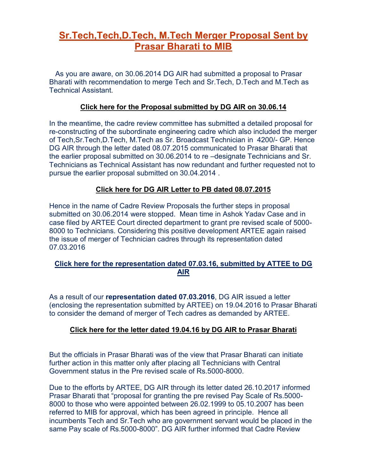# **Sr.Tech,Tech,D.Tech, M.Tech Merger Proposal Sent by Prasar Bharati to MIB**

 As you are aware, on 30.06.2014 DG AIR had submitted a proposal to Prasar Bharati with recommendation to merge Tech and Sr.Tech, D.Tech and M.Tech as Technical Assistant.

#### **[Click here for the Proposal submitted by DG AIR on 30.06.14](http://arteeindia.org/central/2019/Merger_Proposal_dated.30.06.14.pdf)**

In the meantime, the cadre review committee has submitted a detailed proposal for re-constructing of the subordinate engineering cadre which also included the merger of Tech,Sr.Tech,D.Tech, M.Tech as Sr. Broadcast Technician in 4200/- GP. Hence DG AIR through the letter dated 08.07.2015 communicated to Prasar Bharati that the earlier proposal submitted on 30.06.2014 to re –designate Technicians and Sr. Technicians as Technical Assistant has now redundant and further requested not to pursue the earlier proposal submitted on 30.04.2014 .

# **[Click here for DG AIR Letter to PB dated 08.07.2015](http://arteeindia.org/central/2019/Letter_to_PB_%20Merger_dated_08.07.15.pdf)**

Hence in the name of Cadre Review Proposals the further steps in proposal submitted on 30.06.2014 were stopped. Mean time in Ashok Yadav Case and in case filed by ARTEE Court directed department to grant pre revised scale of 5000- 8000 to Technicians. Considering this positive development ARTEE again raised the issue of merger of Technician cadres through its representation dated 07.03.2016

# **[Click here for the representation dated 07.03.16, submitted by ATTEE to DG](http://arteeindia.org/central/2016/EA-SEA%20Tech-STech_070316.pdf)  [AIR](http://arteeindia.org/central/2016/EA-SEA%20Tech-STech_070316.pdf)**

As a result of our **representation dated 07.03.2016**, DG AIR issued a letter (enclosing the representation submitted by ARTEE) on 19.04.2016 to Prasar Bharati to consider the demand of merger of Tech cadres as demanded by ARTEE.

#### **[Click here for the letter dated 19.04.16 by DG AIR to Prasar Bharati](http://arteeindia.org/central/2016/Reminder_by_DG_AIR_Merger_190416.pdf)**

But the officials in Prasar Bharati was of the view that Prasar Bharati can initiate further action in this matter only after placing all Technicians with Central Government status in the Pre revised scale of Rs.5000-8000.

Due to the efforts by ARTEE, DG AIR through its letter dated 26.10.2017 informed Prasar Bharati that "proposal for granting the pre revised Pay Scale of Rs.5000- 8000 to those who were appointed between 26.02.1999 to 05.10.2007 has been referred to MIB for approval, which has been agreed in principle. Hence all incumbents Tech and Sr.Tech who are government servant would be placed in the same Pay scale of Rs.5000-8000". DG AIR further informed that Cadre Review